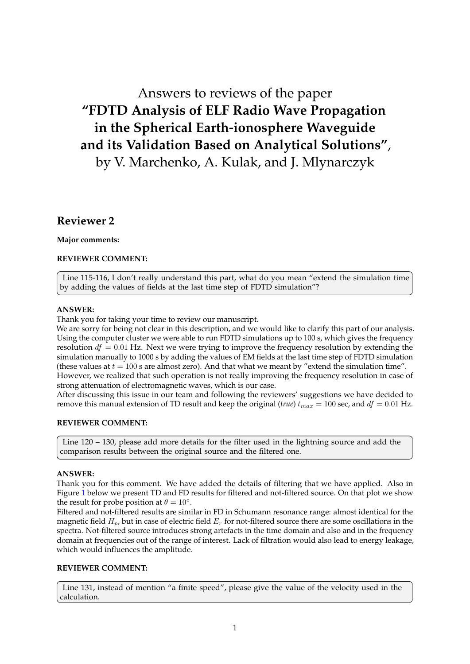# Answers to reviews of the paper **"FDTD Analysis of ELF Radio Wave Propagation in the Spherical Earth-ionosphere Waveguide and its Validation Based on Analytical Solutions"**,

by V. Marchenko, A. Kulak, and J. Mlynarczyk

# **Reviewer 2**

# **Major comments:**

# **REVIEWER COMMENT:**

Line 115-116, I don't really understand this part, what do you mean "extend the simulation time by adding the values of fields at the last time step of FDTD simulation"?

# **ANSWER:**

Thank you for taking your time to review our manuscript.

We are sorry for being not clear in this description, and we would like to clarify this part of our analysis. Using the computer cluster we were able to run FDTD simulations up to 100 s, which gives the frequency resolution  $df = 0.01$  Hz. Next we were trying to improve the frequency resolution by extending the simulation manually to 1000 s by adding the values of EM fields at the last time step of FDTD simulation (these values at  $t = 100$  s are almost zero). And that what we meant by "extend the simulation time".

However, we realized that such operation is not really improving the frequency resolution in case of strong attenuation of electromagnetic waves, which is our case.

After discussing this issue in our team and following the reviewers' suggestions we have decided to remove this manual extension of TD result and keep the original (*true*)  $t_{max} = 100$  sec, and  $df = 0.01$  Hz.

# **REVIEWER COMMENT:**

Line 120 – 130, please add more details for the filter used in the lightning source and add the comparison results between the original source and the filtered one.

# **ANSWER:**

Thank you for this comment. We have added the details of filtering that we have applied. Also in Figure [1](#page-1-0) below we present TD and FD results for filtered and not-filtered source. On that plot we show the result for probe position at  $\theta = 10^\circ$ .

Filtered and not-filtered results are similar in FD in Schumann resonance range: almost identical for the magnetic field  $H_p$ , but in case of electric field  $E_r$  for not-filtered source there are some oscillations in the spectra. Not-filtered source introduces strong artefacts in the time domain and also and in the frequency domain at frequencies out of the range of interest. Lack of filtration would also lead to energy leakage, which would influences the amplitude.

# **REVIEWER COMMENT:**

Line 131, instead of mention "a finite speed", please give the value of the velocity used in the calculation.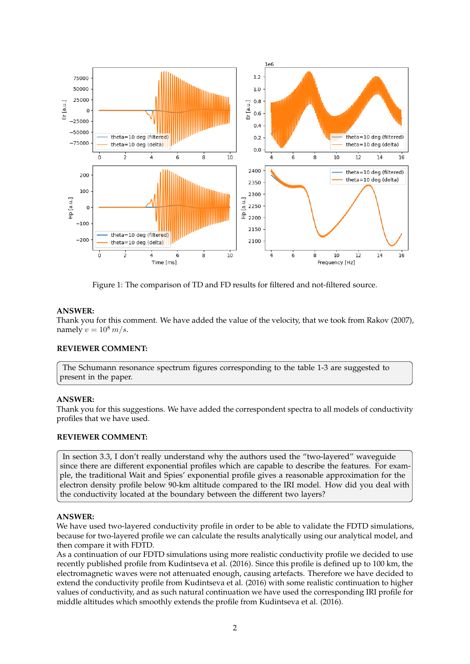

<span id="page-1-0"></span>Figure 1: The comparison of TD and FD results for filtered and not-filtered source.

#### **ANSWER:**

Thank you for this comment. We have added the value of the velocity, that we took from Rakov (2007), namely  $v = 10^8$  m/s.

#### **REVIEWER COMMENT:**

The Schumann resonance spectrum figures corresponding to the table 1-3 are suggested to present in the paper.

#### **ANSWER:**

Thank you for this suggestions. We have added the correspondent spectra to all models of conductivity profiles that we have used.

#### **REVIEWER COMMENT:**

In section 3.3, I don't really understand why the authors used the "two-layered" waveguide since there are different exponential profiles which are capable to describe the features. For example, the traditional Wait and Spies' exponential profile gives a reasonable approximation for the electron density profile below 90-km altitude compared to the IRI model. How did you deal with the conductivity located at the boundary between the different two layers?

#### **ANSWER:**

We have used two-layered conductivity profile in order to be able to validate the FDTD simulations, because for two-layered profile we can calculate the results analytically using our analytical model, and then compare it with FDTD.

As a continuation of our FDTD simulations using more realistic conductivity profile we decided to use recently published profile from Kudintseva et al. (2016). Since this profile is defined up to 100 km, the electromagnetic waves were not attenuated enough, causing artefacts. Therefore we have decided to extend the conductivity profile from Kudintseva et al. (2016) with some realistic continuation to higher values of conductivity, and as such natural continuation we have used the corresponding IRI profile for middle altitudes which smoothly extends the profile from Kudintseva et al. (2016).